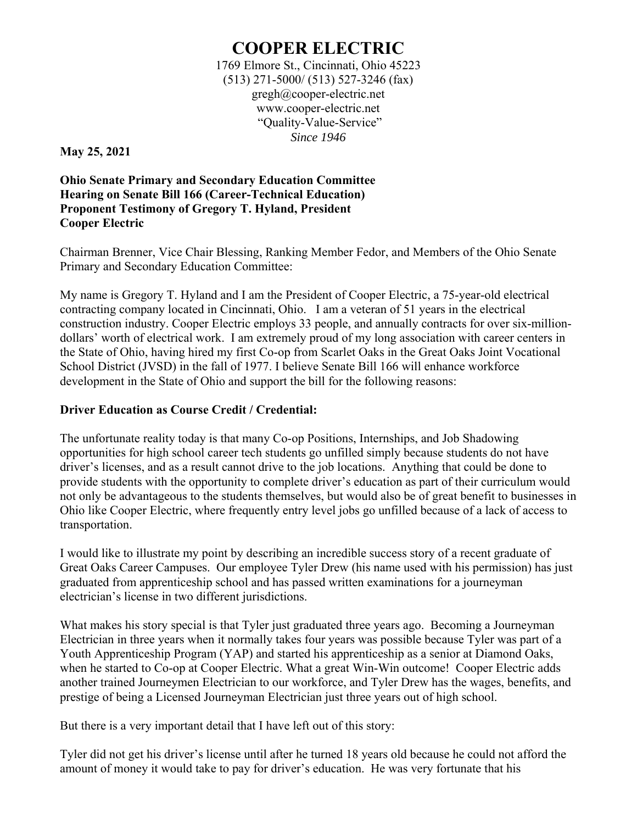## **COOPER ELECTRIC**

1769 Elmore St., Cincinnati, Ohio 45223 (513) 271-5000/ (513) 527-3246 (fax) gregh@cooper-electric.net www.cooper-electric.net "Quality-Value-Service" *Since 1946* 

**May 25, 2021** 

**Ohio Senate Primary and Secondary Education Committee Hearing on Senate Bill 166 (Career-Technical Education) Proponent Testimony of Gregory T. Hyland, President Cooper Electric** 

Chairman Brenner, Vice Chair Blessing, Ranking Member Fedor, and Members of the Ohio Senate Primary and Secondary Education Committee:

My name is Gregory T. Hyland and I am the President of Cooper Electric, a 75-year-old electrical contracting company located in Cincinnati, Ohio. I am a veteran of 51 years in the electrical construction industry. Cooper Electric employs 33 people, and annually contracts for over six-milliondollars' worth of electrical work. I am extremely proud of my long association with career centers in the State of Ohio, having hired my first Co-op from Scarlet Oaks in the Great Oaks Joint Vocational School District (JVSD) in the fall of 1977. I believe Senate Bill 166 will enhance workforce development in the State of Ohio and support the bill for the following reasons:

## **Driver Education as Course Credit / Credential:**

The unfortunate reality today is that many Co-op Positions, Internships, and Job Shadowing opportunities for high school career tech students go unfilled simply because students do not have driver's licenses, and as a result cannot drive to the job locations. Anything that could be done to provide students with the opportunity to complete driver's education as part of their curriculum would not only be advantageous to the students themselves, but would also be of great benefit to businesses in Ohio like Cooper Electric, where frequently entry level jobs go unfilled because of a lack of access to transportation.

I would like to illustrate my point by describing an incredible success story of a recent graduate of Great Oaks Career Campuses. Our employee Tyler Drew (his name used with his permission) has just graduated from apprenticeship school and has passed written examinations for a journeyman electrician's license in two different jurisdictions.

What makes his story special is that Tyler just graduated three years ago. Becoming a Journeyman Electrician in three years when it normally takes four years was possible because Tyler was part of a Youth Apprenticeship Program (YAP) and started his apprenticeship as a senior at Diamond Oaks, when he started to Co-op at Cooper Electric. What a great Win-Win outcome! Cooper Electric adds another trained Journeymen Electrician to our workforce, and Tyler Drew has the wages, benefits, and prestige of being a Licensed Journeyman Electrician just three years out of high school.

But there is a very important detail that I have left out of this story:

Tyler did not get his driver's license until after he turned 18 years old because he could not afford the amount of money it would take to pay for driver's education. He was very fortunate that his